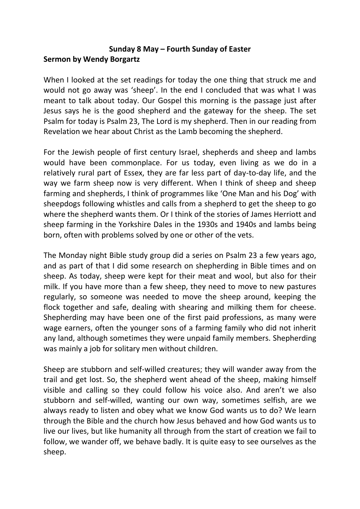## **Sunday 8 May – Fourth Sunday of Easter Sermon by Wendy Borgartz**

When I looked at the set readings for today the one thing that struck me and would not go away was 'sheep'. In the end I concluded that was what I was meant to talk about today. Our Gospel this morning is the passage just after Jesus says he is the good shepherd and the gateway for the sheep. The set Psalm for today is Psalm 23, The Lord is my shepherd. Then in our reading from Revelation we hear about Christ as the Lamb becoming the shepherd.

For the Jewish people of first century Israel, shepherds and sheep and lambs would have been commonplace. For us today, even living as we do in a relatively rural part of Essex, they are far less part of day-to-day life, and the way we farm sheep now is very different. When I think of sheep and sheep farming and shepherds, I think of programmes like 'One Man and his Dog' with sheepdogs following whistles and calls from a shepherd to get the sheep to go where the shepherd wants them. Or I think of the stories of James Herriott and sheep farming in the Yorkshire Dales in the 1930s and 1940s and lambs being born, often with problems solved by one or other of the vets.

The Monday night Bible study group did a series on Psalm 23 a few years ago, and as part of that I did some research on shepherding in Bible times and on sheep. As today, sheep were kept for their meat and wool, but also for their milk. If you have more than a few sheep, they need to move to new pastures regularly, so someone was needed to move the sheep around, keeping the flock together and safe, dealing with shearing and milking them for cheese. Shepherding may have been one of the first paid professions, as many were wage earners, often the younger sons of a farming family who did not inherit any land, although sometimes they were unpaid family members. Shepherding was mainly a job for solitary men without children.

Sheep are stubborn and self-willed creatures; they will wander away from the trail and get lost. So, the shepherd went ahead of the sheep, making himself visible and calling so they could follow his voice also. And aren't we also stubborn and self-willed, wanting our own way, sometimes selfish, are we always ready to listen and obey what we know God wants us to do? We learn through the Bible and the church how Jesus behaved and how God wants us to live our lives, but like humanity all through from the start of creation we fail to follow, we wander off, we behave badly. It is quite easy to see ourselves as the sheep.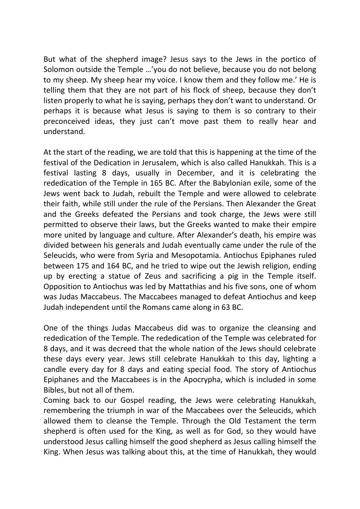But what of the shepherd image? Jesus says to the Jews in the portico of Solomon outside the Temple …'you do not believe, because you do not belong to my sheep. My sheep hear my voice. I know them and they follow me.' He is telling them that they are not part of his flock of sheep, because they don't listen properly to what he is saying, perhaps they don't want to understand. Or perhaps it is because what Jesus is saying to them is so contrary to their preconceived ideas, they just can't move past them to really hear and understand.

At the start of the reading, we are told that this is happening at the time of the festival of the Dedication in Jerusalem, which is also called Hanukkah. This is a festival lasting 8 days, usually in December, and it is celebrating the rededication of the Temple in 165 BC. After the Babylonian exile, some of the Jews went back to Judah, rebuilt the Temple and were allowed to celebrate their faith, while still under the rule of the Persians. Then Alexander the Great and the Greeks defeated the Persians and took charge, the Jews were still permitted to observe their laws, but the Greeks wanted to make their empire more united by language and culture. After Alexander's death, his empire was divided between his generals and Judah eventually came under the rule of the Seleucids, who were from Syria and Mesopotamia. Antiochus Epiphanes ruled between 175 and 164 BC, and he tried to wipe out the Jewish religion, ending up by erecting a statue of Zeus and sacrificing a pig in the Temple itself. Opposition to Antiochus was led by Mattathias and his five sons, one of whom was Judas Maccabeus. The Maccabees managed to defeat Antiochus and keep Judah independent until the Romans came along in 63 BC.

One of the things Judas Maccabeus did was to organize the cleansing and rededication of the Temple. The rededication of the Temple was celebrated for 8 days, and it was decreed that the whole nation of the Jews should celebrate these days every year. Jews still celebrate Hanukkah to this day, lighting a candle every day for 8 days and eating special food. The story of Antiochus Epiphanes and the Maccabees is in the Apocrypha, which is included in some Bibles, but not all of them.

Coming back to our Gospel reading, the Jews were celebrating Hanukkah, remembering the triumph in war of the Maccabees over the Seleucids, which allowed them to cleanse the Temple. Through the Old Testament the term shepherd is often used for the King, as well as for God, so they would have understood Jesus calling himself the good shepherd as Jesus calling himself the King. When Jesus was talking about this, at the time of Hanukkah, they would